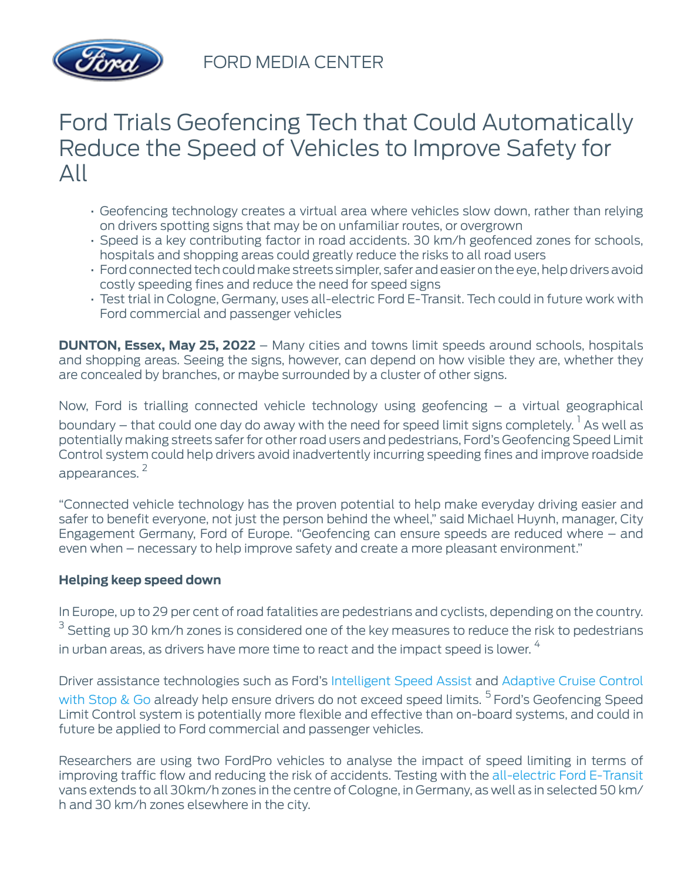

# Ford Trials Geofencing Tech that Could Automatically Reduce the Speed of Vehicles to Improve Safety for All

- Geofencing technology creates a virtual area where vehicles slow down, rather than relying on drivers spotting signs that may be on unfamiliar routes, or overgrown
- Speed is a key contributing factor in road accidents. 30 km/h geofenced zones for schools, hospitals and shopping areas could greatly reduce the risks to all road users
- Ford connected tech could make streets simpler, safer and easier on the eye, help drivers avoid costly speeding fines and reduce the need for speed signs
- Test trial in Cologne, Germany, uses all-electric Ford E-Transit. Tech could in future work with Ford commercial and passenger vehicles

**DUNTON, Essex, May 25, 2022** – Many cities and towns limit speeds around schools, hospitals and shopping areas. Seeing the signs, however, can depend on how visible they are, whether they are concealed by branches, or maybe surrounded by a cluster of other signs.

Now, Ford is trialling connected vehicle technology using geofencing – a virtual geographical boundary – that could one day do away with the need for speed limit signs completely.  $^{\text{1}}$  As well as potentially making streets safer for other road users and pedestrians, Ford's Geofencing Speed Limit Control system could help drivers avoid inadvertently incurring speeding fines and improve roadside appearances. <sup>2</sup>

"Connected vehicle technology has the proven potential to help make everyday driving easier and safer to benefit everyone, not just the person behind the wheel," said Michael Huynh, manager, City Engagement Germany, Ford of Europe. "Geofencing can ensure speeds are reduced where – and even when – necessary to help improve safety and create a more pleasant environment."

## **Helping keep speed down**

In Europe, up to 29 per cent of road fatalities are pedestrians and cyclists, depending on the country.  $^3$  Setting up 30 km/h zones is considered one of the key measures to reduce the risk to pedestrians in urban areas, as drivers have more time to react and the impact speed is lower.  $4$ 

Driver assistance technologies such as Ford's [Intelligent Speed Assist](https://www.ford.co.uk/support/how-tos/ford-technology/driver-assist-features/how-does-intelligent-speed-assist-work) and [Adaptive Cruise Control](https://www.ford.co.uk/support/how-tos/ford-technology/driver-assist-features/how-does-adaptive-cruise-control-work) [with Stop & Go](https://www.ford.co.uk/support/how-tos/ford-technology/driver-assist-features/how-does-adaptive-cruise-control-work) already help ensure drivers do not exceed speed limits.<sup>5</sup> Ford's Geofencing Speed Limit Control system is potentially more flexible and effective than on-board systems, and could in future be applied to Ford commercial and passenger vehicles.

Researchers are using two FordPro vehicles to analyse the impact of speed limiting in terms of improving traffic flow and reducing the risk of accidents. Testing with the [all-electric Ford E-Transit](https://media.ford.com/content/fordmedia/feu/en/news/2022/04/07/ford-e-transit-ready-to-electrify-business-productivity-in-europ.html) vans extends to all 30km/h zones in the centre of Cologne, in Germany, as well as in selected 50 km/ h and 30 km/h zones elsewhere in the city.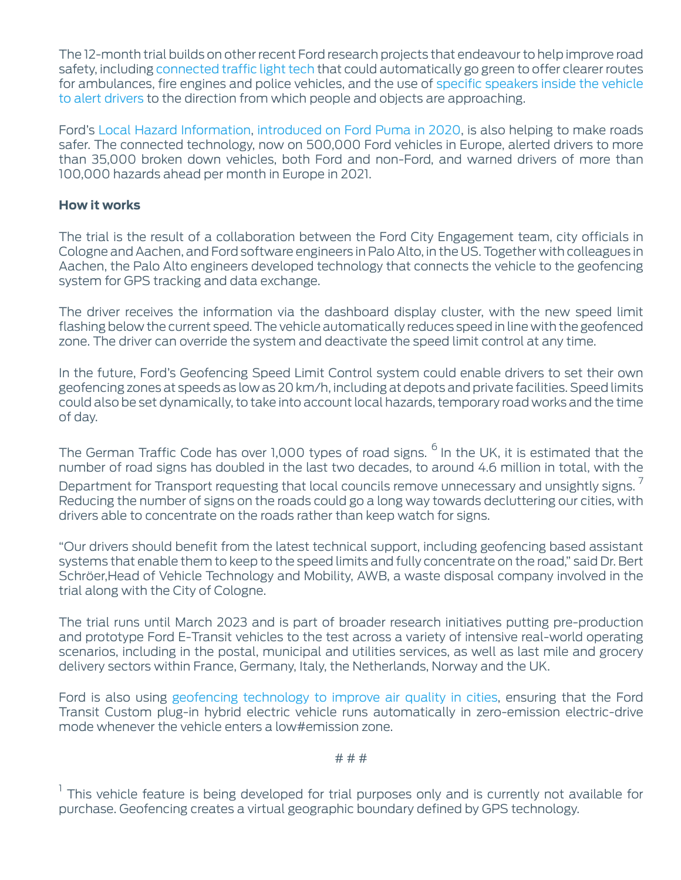The 12-month trial builds on other recent Ford research projects that endeavour to help improve road safety, including [connected traffic light tech](https://media.ford.com/content/fordmedia/feu/en/news/2022/03/29/ford_s-smart-traffic-lights-go-green-for-emergency-vehicles-.html) that could automatically go green to offer clearer routes for ambulances, fire engines and police vehicles, and the use of [specific speakers inside the vehicle](https://media.ford.com/content/fordmedia/feu/en/news/2022/02/17/ford-tests-footsteps--bicycle-bells-as-smart-driver-alerts.html) [to alert drivers](https://media.ford.com/content/fordmedia/feu/en/news/2022/02/17/ford-tests-footsteps--bicycle-bells-as-smart-driver-alerts.html) to the direction from which people and objects are approaching.

Ford's [Local Hazard Information,](https://mobile.twitter.com/FordNewsEurope/status/1525074171708989440?cxt=HHwWgICzzaC4k6oqAAAA) [introduced on Ford Puma in 2020](https://media.ford.com/content/fordmedia/feu/en/news/2021/01/21/ford-shares-connected-car-data-with-other-manufacturers-to-help-.html), is also helping to make roads safer. The connected technology, now on 500,000 Ford vehicles in Europe, alerted drivers to more than 35,000 broken down vehicles, both Ford and non-Ford, and warned drivers of more than 100,000 hazards ahead per month in Europe in 2021.

#### **How it works**

The trial is the result of a collaboration between the Ford City Engagement team, city officials in Cologne and Aachen, and Ford software engineers in Palo Alto, in the US. Together with colleagues in Aachen, the Palo Alto engineers developed technology that connects the vehicle to the geofencing system for GPS tracking and data exchange.

The driver receives the information via the dashboard display cluster, with the new speed limit flashing below the current speed. The vehicle automatically reduces speed in line with the geofenced zone. The driver can override the system and deactivate the speed limit control at any time.

In the future, Ford's Geofencing Speed Limit Control system could enable drivers to set their own geofencing zones at speeds as low as 20 km/h, including at depots and private facilities. Speed limits could also be set dynamically, to take into account local hazards, temporary road works and the time of day.

The German Traffic Code has over 1,000 types of road signs. <sup>6</sup> In the UK, it is estimated that the number of road signs has doubled in the last two decades, to around 4.6 million in total, with the

Department for Transport requesting that local councils remove unnecessary and unsightly signs.  $'$ Reducing the number of signs on the roads could go a long way towards decluttering our cities, with drivers able to concentrate on the roads rather than keep watch for signs.

"Our drivers should benefit from the latest technical support, including geofencing based assistant systems that enable them to keep to the speed limits and fully concentrate on the road," said Dr. Bert Schröer,Head of Vehicle Technology and Mobility, AWB, a waste disposal company involved in the trial along with the City of Cologne.

The trial runs until March 2023 and is part of broader research initiatives putting pre-production and prototype Ford E-Transit vehicles to the test across a variety of intensive real-world operating scenarios, including in the postal, municipal and utilities services, as well as last mile and grocery delivery sectors within France, Germany, Italy, the Netherlands, Norway and the UK.

Ford is also using [geofencing technology to improve air quality in cities,](https://media.ford.com/content/fordmedia/feu/en/news/2020/12/17/ford-study-shows-blockchain--dynamic-geofencing-and-plug-in-hybr.html) ensuring that the Ford Transit Custom plug-in hybrid electric vehicle runs automatically in zero-emission electric-drive mode whenever the vehicle enters a low#emission zone.

#### $# # #$

<sup>1</sup> This vehicle feature is being developed for trial purposes only and is currently not available for purchase. Geofencing creates a virtual geographic boundary defined by GPS technology.